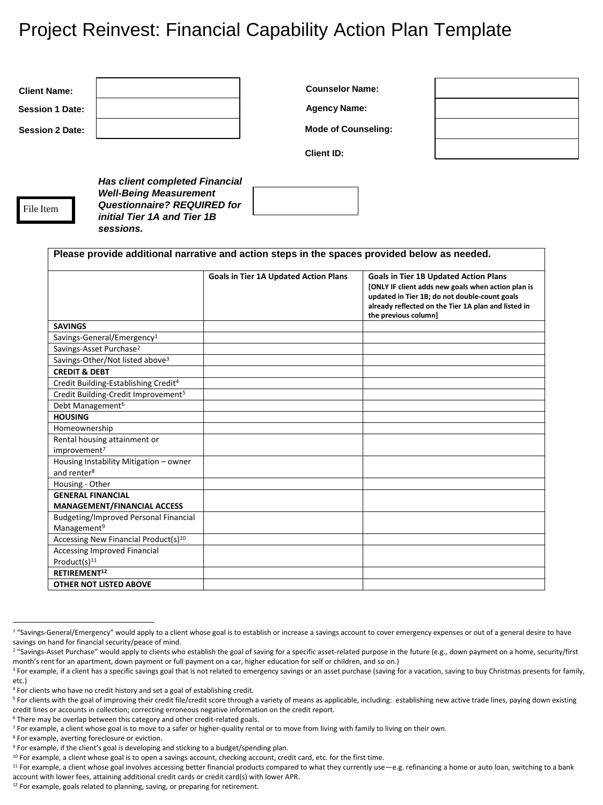## Project Reinvest: Financial Capability Action Plan Template

| <b>Client Name:</b><br><b>Session 1 Date:</b>   |                                                                                                                                                          | <b>Counselor Name:</b>                       |                      |                                                                                                      |
|-------------------------------------------------|----------------------------------------------------------------------------------------------------------------------------------------------------------|----------------------------------------------|----------------------|------------------------------------------------------------------------------------------------------|
|                                                 |                                                                                                                                                          | <b>Agency Name:</b>                          |                      |                                                                                                      |
| <b>Session 2 Date:</b>                          |                                                                                                                                                          | <b>Mode of Counseling:</b>                   |                      |                                                                                                      |
|                                                 |                                                                                                                                                          | <b>Client ID:</b>                            |                      |                                                                                                      |
| File Item                                       | <b>Has client completed Financial</b><br><b>Well-Being Measurement</b><br><b>Questionnaire? REQUIRED for</b><br>initial Tier 1A and Tier 1B<br>sessions. |                                              |                      |                                                                                                      |
|                                                 | Please provide additional narrative and action steps in the spaces provided below as needed.                                                             | <b>Goals in Tier 1A Updated Action Plans</b> |                      | <b>Goals in Tier 1B Updated Action Plans</b><br>[ONLY IF client adds new goals when action plan is   |
|                                                 |                                                                                                                                                          |                                              | the previous column] | updated in Tier 1B; do not double-count goals<br>already reflected on the Tier 1A plan and listed in |
| <b>SAVINGS</b>                                  |                                                                                                                                                          |                                              |                      |                                                                                                      |
|                                                 | Savings-General/Emergency <sup>1</sup>                                                                                                                   |                                              |                      |                                                                                                      |
|                                                 | Savings-Asset Purchase <sup>2</sup>                                                                                                                      |                                              |                      |                                                                                                      |
|                                                 | Savings-Other/Not listed above <sup>3</sup>                                                                                                              |                                              |                      |                                                                                                      |
| <b>CREDIT &amp; DEBT</b>                        |                                                                                                                                                          |                                              |                      |                                                                                                      |
|                                                 | Credit Building-Establishing Credit <sup>4</sup>                                                                                                         |                                              |                      |                                                                                                      |
| Credit Building-Credit Improvement <sup>5</sup> |                                                                                                                                                          |                                              |                      |                                                                                                      |
| Debt Management <sup>6</sup>                    |                                                                                                                                                          |                                              |                      |                                                                                                      |
| <b>HOUSING</b>                                  |                                                                                                                                                          |                                              |                      |                                                                                                      |
| Homeownership                                   |                                                                                                                                                          |                                              |                      |                                                                                                      |
| improvement <sup>7</sup>                        | Rental housing attainment or                                                                                                                             |                                              |                      |                                                                                                      |
| and renter <sup>8</sup>                         | Housing Instability Mitigation - owner                                                                                                                   |                                              |                      |                                                                                                      |
| Housing - Other                                 |                                                                                                                                                          |                                              |                      |                                                                                                      |
| <b>GENERAL FINANCIAL</b>                        |                                                                                                                                                          |                                              |                      |                                                                                                      |
|                                                 | <b>MANAGEMENT/FINANCIAL ACCESS</b>                                                                                                                       |                                              |                      |                                                                                                      |
|                                                 | <b>Budgeting/Improved Personal Financial</b>                                                                                                             |                                              |                      |                                                                                                      |
| Management <sup>9</sup>                         |                                                                                                                                                          |                                              |                      |                                                                                                      |
|                                                 | Accessing New Financial Product(s) <sup>10</sup>                                                                                                         |                                              |                      |                                                                                                      |
|                                                 | Accessing Improved Financial                                                                                                                             |                                              |                      |                                                                                                      |
| Product(s) <sup>11</sup>                        |                                                                                                                                                          |                                              |                      |                                                                                                      |
| RETIREMENT <sup>12</sup>                        |                                                                                                                                                          |                                              |                      |                                                                                                      |
|                                                 | <b>OTHER NOT LISTED ABOVE</b>                                                                                                                            |                                              |                      |                                                                                                      |

<sup>8</sup> For example, averting foreclosure or eviction.

 $\overline{a}$ 

<sup>11</sup> For example, a client whose goal involves accessing better financial products compared to what they currently use -e.g. refinancing a home or auto loan, switching to a bank account with lower fees, attaining additional credit cards or credit card(s) with lower APR.

<sup>&</sup>lt;sup>1</sup> "Savings-General/Emergency" would apply to a client whose goal is to establish or increase a savings account to cover emergency expenses or out of a general desire to have savings on hand for financial security/peace of mind.

<sup>&</sup>lt;sup>2</sup> "Savings-Asset Purchase" would apply to clients who establish the goal of saving for a specific asset-related purpose in the future (e.g., down payment on a home, security/first month's rent for an apartment, down payment or full payment on a car, higher education for self or children, and so on.)

<sup>&</sup>lt;sup>3</sup> For example, if a client has a specific savings goal that is not related to emergency savings or an asset purchase (saving for a vacation, saving to buy Christmas presents for family, etc.)

<sup>4</sup> For clients who have no credit history and set a goal of establishing credit.

<sup>&</sup>lt;sup>5</sup> For clients with the goal of improving their credit file/credit score through a variety of means as applicable, including: establishing new active trade lines, paying down existing credit lines or accounts in collection; correcting erroneous negative information on the credit report.

<sup>&</sup>lt;sup>6</sup> There may be overlap between this category and other credit-related goals.

<sup>&</sup>lt;sup>7</sup> For example, a client whose goal is to move to a safer or higher-quality rental or to move from living with family to living on their own.

<sup>&</sup>lt;sup>9</sup> For example, if the client's goal is developing and sticking to a budget/spending plan.

<sup>&</sup>lt;sup>10</sup> For example, a client whose goal is to open a savings account, checking account, credit card, etc. for the first time.

<sup>&</sup>lt;sup>12</sup> For example, goals related to planning, saving, or preparing for retirement.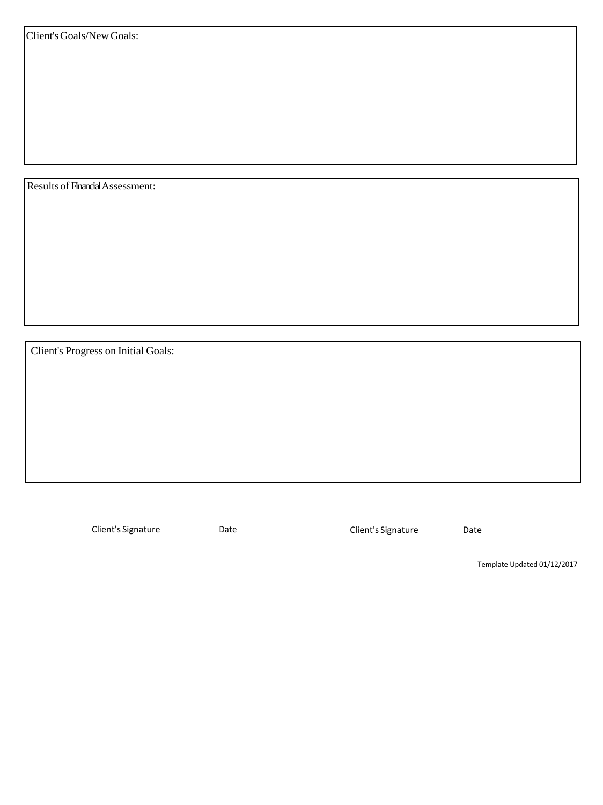Results of Financial Assessment:

Client's Progress on Initial Goals:

Client's Signature Date Date Client's Signature Date

Template Updated 01/12/2017